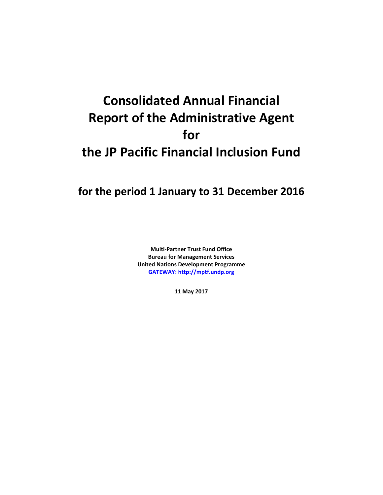# **Consolidated Annual Financial Report of the Administrative Agent for the JP Pacific Financial Inclusion Fund**

## **for the period 1 January to 31 December 2016**

**Multi-Partner Trust Fund Office Bureau for Management Services United Nations Development Programme [GATEWAY: http://mptf.undp.org](http://mptf.undp.org/)**

**11 May 2017**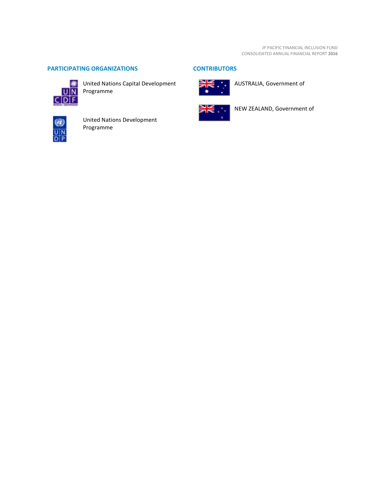### **PARTICIPATING ORGANIZATIONS CONTRIBUTORS**



United Nations Capital Development Programme



AUSTRALIA, Government of



NEW ZEALAND, Government of



United Nations Development Programme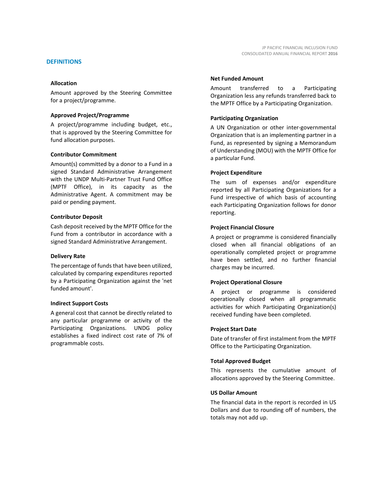Amount approved by the Steering Committee for a project/programme.

#### **Approved Project/Programme**

A project/programme including budget, etc., that is approved by the Steering Committee for fund allocation purposes.

#### **Contributor Commitment**

Amount(s) committed by a donor to a Fund in a signed Standard Administrative Arrangement with the UNDP Multi-Partner Trust Fund Office (MPTF Office), in its capacity as the Administrative Agent. A commitment may be paid or pending payment.

#### **Contributor Deposit**

Cash deposit received by the MPTF Office for the Fund from a contributor in accordance with a signed Standard Administrative Arrangement.

#### **Delivery Rate**

The percentage of funds that have been utilized, calculated by comparing expenditures reported by a Participating Organization against the 'net funded amount'.

#### **Indirect Support Costs**

A general cost that cannot be directly related to any particular programme or activity of the Participating Organizations. UNDG policy establishes a fixed indirect cost rate of 7% of programmable costs.

#### **Net Funded Amount**

Amount transferred to a Participating Organization less any refunds transferred back to the MPTF Office by a Participating Organization.

#### **Participating Organization**

A UN Organization or other inter-governmental Organization that is an implementing partner in a Fund, as represented by signing a Memorandum of Understanding (MOU) with the MPTF Office for a particular Fund.

#### **Project Expenditure**

The sum of expenses and/or expenditure reported by all Participating Organizations for a Fund irrespective of which basis of accounting each Participating Organization follows for donor reporting.

#### **Project Financial Closure**

A project or programme is considered financially closed when all financial obligations of an operationally completed project or programme have been settled, and no further financial charges may be incurred.

#### **Project Operational Closure**

A project or programme is considered operationally closed when all programmatic activities for which Participating Organization(s) received funding have been completed.

#### **Project Start Date**

Date of transfer of first instalment from the MPTF Office to the Participating Organization.

#### **Total Approved Budget**

This represents the cumulative amount of allocations approved by the Steering Committee.

#### **US Dollar Amount**

The financial data in the report is recorded in US Dollars and due to rounding off of numbers, the totals may not add up.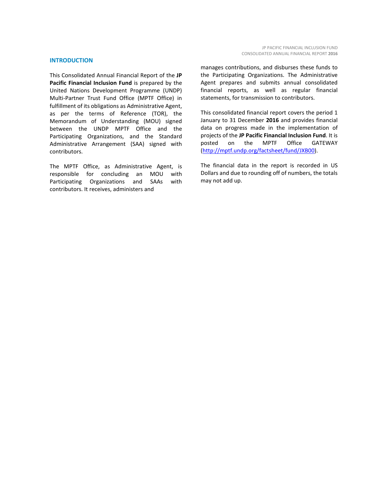#### **INTRODUCTION**

This Consolidated Annual Financial Report of the **JP Pacific Financial Inclusion Fund** is prepared by the United Nations Development Programme (UNDP) Multi-Partner Trust Fund Office (MPTF Office) in fulfillment of its obligations as Administrative Agent, as per the terms of Reference (TOR), the Memorandum of Understanding (MOU) signed between the UNDP MPTF Office and the Participating Organizations, and the Standard Administrative Arrangement (SAA) signed with contributors.

The MPTF Office, as Administrative Agent, is responsible for concluding an MOU with Participating Organizations and SAAs with contributors. It receives, administers and

manages contributions, and disburses these funds to the Participating Organizations. The Administrative Agent prepares and submits annual consolidated financial reports, as well as regular financial statements, for transmission to contributors.

This consolidated financial report covers the period 1 January to 31 December **2016** and provides financial data on progress made in the implementation of projects of the **JP Pacific Financial Inclusion Fund**. It is posted on the MPTF Office GATEWAY [\(http://mptf.undp.org/factsheet/fund/JXB00\)](http://mptf.undp.org/factsheet/fund/JXB00).

The financial data in the report is recorded in US Dollars and due to rounding off of numbers, the totals may not add up.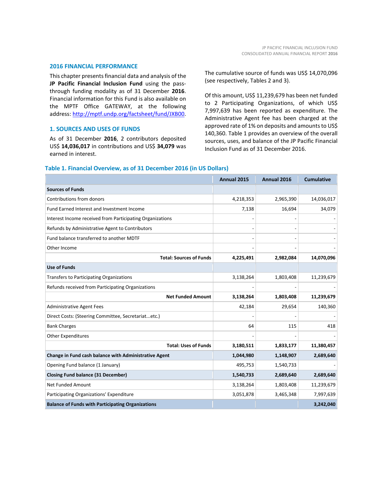#### **2016 FINANCIAL PERFORMANCE**

This chapter presents financial data and analysis of the **JP Pacific Financial Inclusion Fund** using the passthrough funding modality as of 31 December **2016**. Financial information for this Fund is also available on the MPTF Office GATEWAY, at the following address: [http://mptf.undp.org/factsheet/fund/JXB00.](http://mptf.undp.org/factsheet/fund/JXB00)

#### **1. SOURCES AND USES OF FUNDS**

As of 31 December **2016**, 2 contributors deposited US\$ **14,036,017** in contributions and US\$ **34,079** was earned in interest.

The cumulative source of funds was US\$ 14,070,096 (see respectively, Tables 2 and 3).

Of this amount, US\$ 11,239,679 has been net funded to 2 Participating Organizations, of which US\$ 7,997,639 has been reported as expenditure. The Administrative Agent fee has been charged at the approved rate of 1% on deposits and amounts to US\$ 140,360. Table 1 provides an overview of the overall sources, uses, and balance of the JP Pacific Financial Inclusion Fund as of 31 December 2016.

|                                                           | Annual 2015 | Annual 2016 | <b>Cumulative</b> |
|-----------------------------------------------------------|-------------|-------------|-------------------|
| <b>Sources of Funds</b>                                   |             |             |                   |
| Contributions from donors                                 | 4,218,353   | 2,965,390   | 14,036,017        |
| Fund Earned Interest and Investment Income                | 7,138       | 16,694      | 34,079            |
| Interest Income received from Participating Organizations |             |             |                   |
| Refunds by Administrative Agent to Contributors           |             |             |                   |
| Fund balance transferred to another MDTF                  |             |             |                   |
| Other Income                                              |             |             |                   |
| <b>Total: Sources of Funds</b>                            | 4,225,491   | 2,982,084   | 14,070,096        |
| <b>Use of Funds</b>                                       |             |             |                   |
| <b>Transfers to Participating Organizations</b>           | 3,138,264   | 1,803,408   | 11,239,679        |
| Refunds received from Participating Organizations         |             |             |                   |
| <b>Net Funded Amount</b>                                  | 3,138,264   | 1,803,408   | 11,239,679        |
| <b>Administrative Agent Fees</b>                          | 42,184      | 29,654      | 140,360           |
| Direct Costs: (Steering Committee, Secretariatetc.)       |             |             |                   |
| <b>Bank Charges</b>                                       | 64          | 115         | 418               |
| <b>Other Expenditures</b>                                 |             |             |                   |
| <b>Total: Uses of Funds</b>                               | 3,180,511   | 1,833,177   | 11,380,457        |
| Change in Fund cash balance with Administrative Agent     | 1,044,980   | 1,148,907   | 2,689,640         |
| Opening Fund balance (1 January)                          | 495,753     | 1,540,733   |                   |
| <b>Closing Fund balance (31 December)</b>                 | 1,540,733   | 2,689,640   | 2,689,640         |
| Net Funded Amount                                         | 3,138,264   | 1,803,408   | 11,239,679        |
| Participating Organizations' Expenditure                  | 3,051,878   | 3,465,348   | 7,997,639         |
| <b>Balance of Funds with Participating Organizations</b>  |             |             | 3,242,040         |

#### **Table 1. Financial Overview, as of 31 December 2016 (in US Dollars)**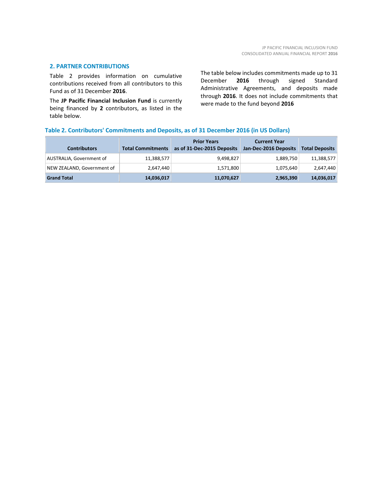#### **2. PARTNER CONTRIBUTIONS**

Table 2 provides information on cumulative contributions received from all contributors to this Fund as of 31 December **2016**.

The **JP Pacific Financial Inclusion Fund** is currently being financed by **2** contributors, as listed in the table below.

The table below includes commitments made up to 31 December **2016** through signed Standard Administrative Agreements, and deposits made through **2016**. It does not include commitments that were made to the fund beyond **2016**

#### **Table 2. Contributors' Commitments and Deposits, as of 31 December 2016 (in US Dollars)**

| <b>Contributors</b>        | <b>Total Commitments</b> | <b>Prior Years</b><br>as of 31-Dec-2015 Deposits | <b>Current Year</b><br>Jan-Dec-2016 Deposits | <b>Total Deposits</b> |
|----------------------------|--------------------------|--------------------------------------------------|----------------------------------------------|-----------------------|
| AUSTRALIA, Government of   | 11,388,577               | 9,498,827                                        | 1,889,750                                    | 11,388,577            |
| NEW ZEALAND, Government of | 2,647,440                | 1,571,800                                        | 1,075,640                                    | 2,647,440             |
| <b>Grand Total</b>         | 14,036,017               | 11,070,627                                       | 2,965,390                                    | 14,036,017            |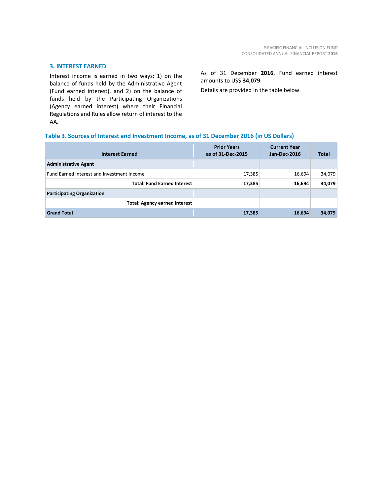#### **3. INTEREST EARNED**

Interest income is earned in two ways: 1) on the balance of funds held by the Administrative Agent (Fund earned interest), and 2) on the balance of funds held by the Participating Organizations (Agency earned interest) where their Financial Regulations and Rules allow return of interest to the AA.

As of 31 December **2016**, Fund earned interest amounts to US\$ **34,079**.

Details are provided in the table below.

#### **Table 3. Sources of Interest and Investment Income, as of 31 December 2016 (in US Dollars)**

| <b>Interest Earned</b>                     | <b>Prior Years</b><br>as of 31-Dec-2015 | <b>Current Year</b><br>Jan-Dec-2016 | <b>Total</b> |
|--------------------------------------------|-----------------------------------------|-------------------------------------|--------------|
| <b>Administrative Agent</b>                |                                         |                                     |              |
| Fund Earned Interest and Investment Income | 17,385                                  | 16,694                              | 34,079       |
| <b>Total: Fund Earned Interest</b>         | 17,385                                  | 16,694                              | 34,079       |
| <b>Participating Organization</b>          |                                         |                                     |              |
| <b>Total: Agency earned interest</b>       |                                         |                                     |              |
| <b>Grand Total</b>                         | 17,385                                  | 16,694                              | 34,079       |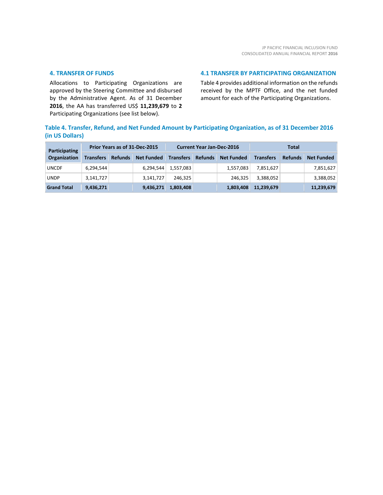#### **4. TRANSFER OF FUNDS**

Allocations to Participating Organizations are approved by the Steering Committee and disbursed by the Administrative Agent. As of 31 December **2016**, the AA has transferred US\$ **11,239,679** to **2** Participating Organizations (see list below).

#### **4.1 TRANSFER BY PARTICIPATING ORGANIZATION**

Table 4 provides additional information on the refunds received by the MPTF Office, and the net funded amount for each of the Participating Organizations.

### **Table 4. Transfer, Refund, and Net Funded Amount by Participating Organization, as of 31 December 2016 (in US Dollars)**

| Participating      | Prior Years as of 31-Dec-2015 |                |                   | <b>Current Year Jan-Dec-2016</b> |                |                   | Total            |                |                   |
|--------------------|-------------------------------|----------------|-------------------|----------------------------------|----------------|-------------------|------------------|----------------|-------------------|
| Organization       | <b>Transfers</b>              | <b>Refunds</b> | <b>Net Funded</b> | <b>Transfers</b>                 | <b>Refunds</b> | <b>Net Funded</b> | <b>Transfers</b> | <b>Refunds</b> | <b>Net Funded</b> |
| <b>UNCDF</b>       | 6.294.544                     |                | 6,294,544         | 1,557,083                        |                | 1,557,083         | 7,851,627        |                | 7,851,627         |
| <b>UNDP</b>        | 3,141,727                     |                | 3.141.727         | 246.325                          |                | 246.325           | 3,388,052        |                | 3,388,052         |
| <b>Grand Total</b> | 9,436,271                     |                | 9,436,271         | 1,803,408                        |                | 1,803,408         | 11,239,679       |                | 11,239,679        |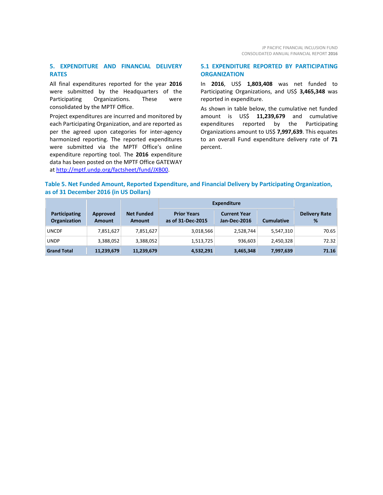#### **5. EXPENDITURE AND FINANCIAL DELIVERY RATES**

All final expenditures reported for the year **2016** were submitted by the Headquarters of the Participating Organizations. These were consolidated by the MPTF Office.

Project expenditures are incurred and monitored by each Participating Organization, and are reported as per the agreed upon categories for inter-agency harmonized reporting. The reported expenditures were submitted via the MPTF Office's online expenditure reporting tool. The **2016** expenditure data has been posted on the MPTF Office GATEWAY at [http://mptf.undp.org/factsheet/fund/JXB00.](http://mptf.undp.org/factsheet/fund/JXB00)

#### **5.1 EXPENDITURE REPORTED BY PARTICIPATING ORGANIZATION**

In **2016**, US\$ **1,803,408** was net funded to Participating Organizations, and US\$ **3,465,348** was reported in expenditure.

As shown in table below, the cumulative net funded amount is US\$ **11,239,679** and cumulative expenditures reported by the Participating Organizations amount to US\$ **7,997,639**. This equates to an overall Fund expenditure delivery rate of **71** percent.

#### **Table 5. Net Funded Amount, Reported Expenditure, and Financial Delivery by Participating Organization, as of 31 December 2016 (in US Dollars)**

|                                      |                           |                                    | <b>Expenditure</b>                      |                                            |                   |                           |
|--------------------------------------|---------------------------|------------------------------------|-----------------------------------------|--------------------------------------------|-------------------|---------------------------|
| Participating<br><b>Organization</b> | Approved<br><b>Amount</b> | <b>Net Funded</b><br><b>Amount</b> | <b>Prior Years</b><br>as of 31-Dec-2015 | <b>Current Year</b><br><b>Jan-Dec-2016</b> | <b>Cumulative</b> | <b>Delivery Rate</b><br>% |
| <b>UNCDF</b>                         | 7,851,627                 | 7,851,627                          | 3,018,566                               | 2,528,744                                  | 5,547,310         | 70.65                     |
| <b>UNDP</b>                          | 3,388,052                 | 3,388,052                          | 1,513,725                               | 936,603                                    | 2,450,328         | 72.32                     |
| <b>Grand Total</b>                   | 11,239,679                | 11,239,679                         | 4,532,291                               | 3,465,348                                  | 7,997,639         | 71.16                     |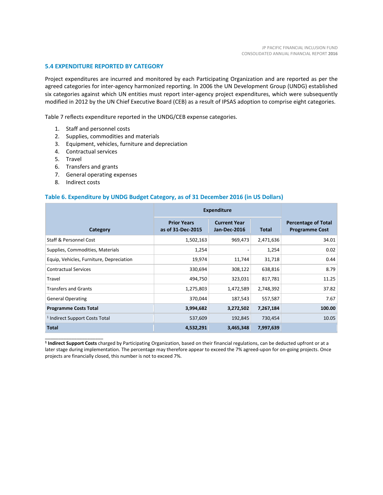#### **5.4 EXPENDITURE REPORTED BY CATEGORY**

Project expenditures are incurred and monitored by each Participating Organization and are reported as per the agreed categories for inter-agency harmonized reporting. In 2006 the UN Development Group (UNDG) established six categories against which UN entities must report inter-agency project expenditures, which were subsequently modified in 2012 by the UN Chief Executive Board (CEB) as a result of IPSAS adoption to comprise eight categories.

Table 7 reflects expenditure reported in the UNDG/CEB expense categories.

- 1. Staff and personnel costs
- 2. Supplies, commodities and materials
- 3. Equipment, vehicles, furniture and depreciation
- 4. Contractual services
- 5. Travel
- 6. Transfers and grants
- 7. General operating expenses
- 8. Indirect costs

\_\_\_\_\_\_\_\_\_\_\_\_\_\_\_\_\_\_\_\_\_\_

#### **Table 6. Expenditure by UNDG Budget Category, as of 31 December 2016 (in US Dollars)**

|                                           | <b>Expenditure</b>                      |                                     |              |                                                     |
|-------------------------------------------|-----------------------------------------|-------------------------------------|--------------|-----------------------------------------------------|
| Category                                  | <b>Prior Years</b><br>as of 31-Dec-2015 | <b>Current Year</b><br>Jan-Dec-2016 | <b>Total</b> | <b>Percentage of Total</b><br><b>Programme Cost</b> |
| <b>Staff &amp; Personnel Cost</b>         | 1,502,163                               | 969,473                             | 2,471,636    | 34.01                                               |
| Supplies, Commodities, Materials          | 1,254                                   |                                     | 1,254        | 0.02                                                |
| Equip, Vehicles, Furniture, Depreciation  | 19,974                                  | 11,744                              | 31,718       | 0.44                                                |
| <b>Contractual Services</b>               | 330,694                                 | 308,122                             | 638,816      | 8.79                                                |
| Travel                                    | 494,750                                 | 323,031                             | 817,781      | 11.25                                               |
| <b>Transfers and Grants</b>               | 1,275,803                               | 1,472,589                           | 2,748,392    | 37.82                                               |
| <b>General Operating</b>                  | 370,044                                 | 187,543                             | 557,587      | 7.67                                                |
| <b>Programme Costs Total</b>              | 3,994,682                               | 3,272,502                           | 7,267,184    | 100.00                                              |
| <sup>1</sup> Indirect Support Costs Total | 537,609                                 | 192,845                             | 730,454      | 10.05                                               |
| <b>Total</b>                              | 4,532,291                               | 3,465,348                           | 7,997,639    |                                                     |

**<sup>1</sup> Indirect Support Costs** charged by Participating Organization, based on their financial regulations, can be deducted upfront or at a later stage during implementation. The percentage may therefore appear to exceed the 7% agreed-upon for on-going projects. Once projects are financially closed, this number is not to exceed 7%.